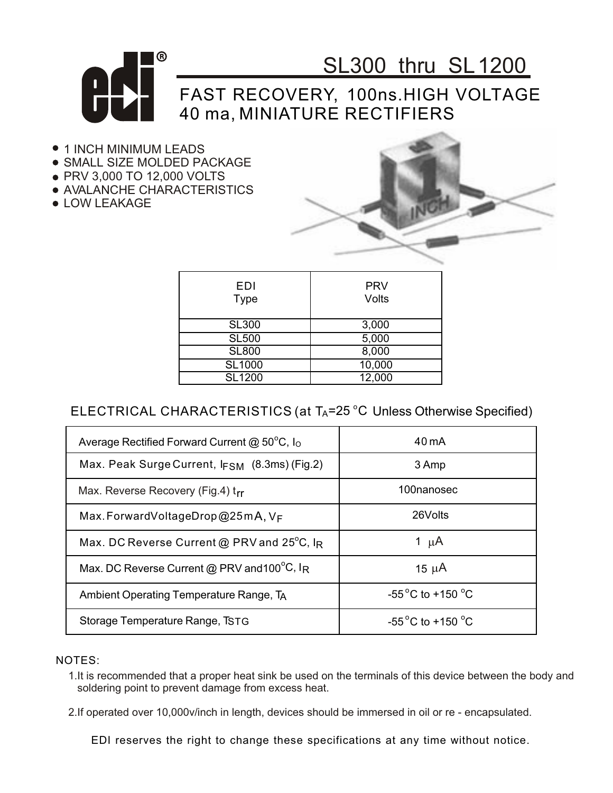

# SL300 thru SL1200

### FAST RECOVERY, 100ns.HIGH VOLTAGE 40 ma, MINIATURE RECTIFIERS

- $\bullet$  1 INCH MINIMUM LEADS
- **.** SMALL SIZE MOLDED PACKAGE
- PRV 3,000 TO 12,000 VOLTS
- AVALANCHE CHARACTERISTICS
- **LOW LEAKAGE**



| EDI<br><b>Type</b> | <b>PRV</b><br>Volts |
|--------------------|---------------------|
| <b>SL300</b>       | 3,000               |
| <b>SL500</b>       | 5,000               |
| <b>SL800</b>       | 8,000               |
| <b>SL1000</b>      | 10,000              |
| <b>SL1200</b>      | 12,000              |
|                    |                     |

### ELECTRICAL CHARACTERISTICS (at  $T_A$ =25 °C Unless Otherwise Specified)

| Average Rectified Forward Current @ $50^{\circ}$ C, I <sub>O</sub>    | $40 \text{ mA}$                      |
|-----------------------------------------------------------------------|--------------------------------------|
| Max. Peak Surge Current, IFSM (8.3ms) (Fig.2)                         | 3 Amp                                |
| Max. Reverse Recovery (Fig.4) trr                                     | 100nanosec                           |
| Max. Forward Voltage Drop @ 25 m A, $V_F$                             | 26Volts                              |
| Max. DC Reverse Current @ PRV and 25°C, IR                            | 1 $\mu$ A                            |
| Max. DC Reverse Current @ PRV and 100 $\mathrm{^0C}$ , I <sub>R</sub> | 15 $\mu$ A                           |
| Ambient Operating Temperature Range, TA                               | $-55^{\circ}$ C to +150 $^{\circ}$ C |
| Storage Temperature Range, TSTG                                       | $-55^{\circ}$ C to +150 $^{\circ}$ C |

#### NOTES:

1.It is recommended that a proper heat sink be used on the terminals of this device between the body and soldering point to prevent damage from excess heat.

2.If operated over 10,000v/inch in length, devices should be immersed in oil or re - encapsulated.

EDI reserves the right to change these specifications at any time without notice.